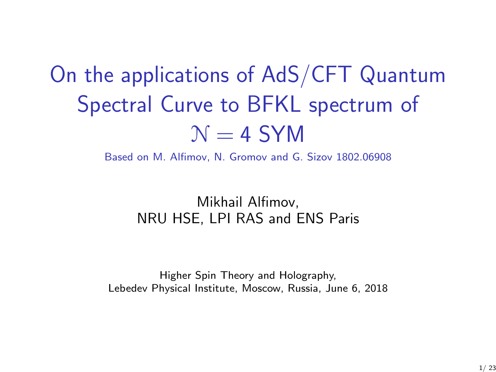# On the applications of AdS/CFT Quantum Spectral Curve to BFKL spectrum of  $N = 4$  SYM

Based on M. Alfimov, N. Gromov and G. Sizov 1802.06908

#### Mikhail Alfimov, NRU HSE, LPI RAS and ENS Paris

Higher Spin Theory and Holography, Lebedev Physical Institute, Moscow, Russia, June 6, 2018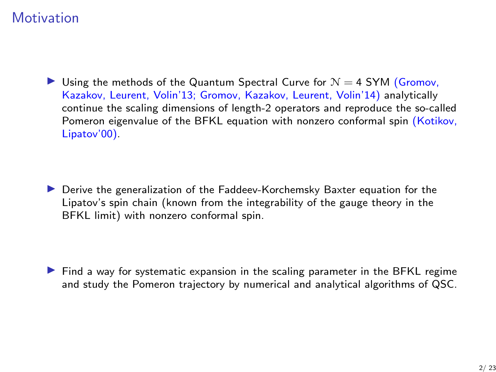## **Motivation**

In Using the methods of the Quantum Spectral Curve for  $N = 4$  SYM (Gromov, Kazakov, Leurent, Volin'13; Gromov, Kazakov, Leurent, Volin'14) analytically continue the scaling dimensions of length-2 operators and reproduce the so-called Pomeron eigenvalue of the BFKL equation with nonzero conformal spin (Kotikov, Lipatov'00).

**In Derive the generalization of the Faddeev-Korchemsky Baxter equation for the** Lipatov's spin chain (known from the integrability of the gauge theory in the BFKL limit) with nonzero conformal spin.

 $\blacktriangleright$  Find a way for systematic expansion in the scaling parameter in the BFKL regime and study the Pomeron trajectory by numerical and analytical algorithms of QSC.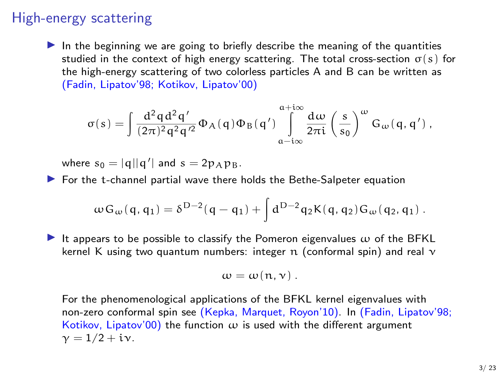## High-energy scattering

In the beginning we are going to briefly describe the meaning of the quantities studied in the context of high energy scattering. The total cross-section  $\sigma(s)$  for the high-energy scattering of two colorless particles A and B can be written as (Fadin, Lipatov'98; Kotikov, Lipatov'00)

$$
\sigma(s)=\int\frac{d^2qd^2q'}{(2\pi)^2q^2q'^2}\Phi_A(q)\Phi_B(q')\int\limits_{\alpha-i\infty}^{\alpha+i\infty}\frac{d\omega}{2\pi i}\left(\frac{s}{s_0}\right)^{\omega}G_{\omega}(q,q')\,,
$$

where  $s_0 = |q||q'|$  and  $s = 2p_A p_B$ .

 $\blacktriangleright$  For the t-channel partial wave there holds the Bethe-Salpeter equation

$$
\omega \, G_\omega(\,q\,,\,q_1) = \delta^{D-2}(\,q\,-\,q_1) + \int d^{D-2} q_2 K(\,q\,,\,q_2) \, G_\omega(\,q_2,\,q_1) \; .
$$

It appears to be possible to classify the Pomeron eigenvalues  $\omega$  of the BFKL kernel K using two quantum numbers: integer n (conformal spin) and real  $\nu$ 

$$
\omega=\omega(\mathfrak{n},\nu)\,.
$$

For the phenomenological applications of the BFKL kernel eigenvalues with non-zero conformal spin see (Kepka, Marquet, Royon'10). In (Fadin, Lipatov'98; Kotikov, Lipatov'00) the function  $\omega$  is used with the different argument  $\nu = 1/2 + i\nu$ .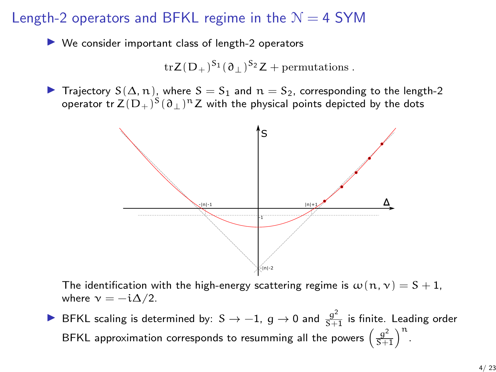#### Length-2 operators and BFKL regime in the  $N = 4$  SYM

 $\blacktriangleright$  We consider important class of length-2 operators

$$
\mathrm{tr} Z(D_+)^{S_1}(\partial_{\perp})^{S_2}Z + \mathrm{permutations}.
$$

**IF** Trajectory  $S(\Delta, n)$ , where  $S = S_1$  and  $n = S_2$ , corresponding to the length-2 operator tr  $\mathsf{Z}(\mathsf{D}_+)^{\mathsf{S}}(\mathfrak{d}_\perp)^\mathfrak{n} \mathsf{Z}$  with the physical points depicted by the dots



The identification with the high-energy scattering regime is  $\omega(n, \nu) = S + 1$ , where  $v = -i\Delta/2$ .

▶ BFKL scaling is determined by: S  $\rightarrow -1$ , g  $\rightarrow 0$  and  $\frac{g^2}{S+1}$  is finite. Leading order BFKL approximation corresponds to resumming all the powers  $\left(\frac{g^2}{S+1}\right)^n$ .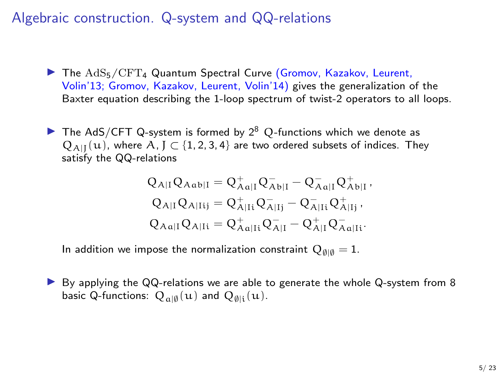Algebraic construction. Q-system and QQ-relations

- $\blacktriangleright$  The  $AdS_5/CFT_4$  Quantum Spectral Curve (Gromov, Kazakov, Leurent, Volin'13; Gromov, Kazakov, Leurent, Volin'14) gives the generalization of the Baxter equation describing the 1-loop spectrum of twist-2 operators to all loops.
- **IF The AdS/CFT Q-system is formed by 2<sup>8</sup> Q-functions which we denote as**  $Q_{A|I}(u)$ , where A, J  $\subset$  {1, 2, 3, 4} are two ordered subsets of indices. They satisfy the QQ-relations

$$
\begin{aligned} Q_{A|I} Q_{A\alpha b|I} &= Q_{A\alpha|I}^+ Q_{A\,b|I}^- - Q_{A\alpha|I}^- Q_{A\,b|I}^+,\\ Q_{A|I} Q_{A|I i j} &= Q_{A|I i}^+ Q_{A|I j}^- - Q_{A|I i}^- Q_{A|I j}^+,\\ Q_{A\alpha|I} Q_{A|I i} &= Q_{A\alpha|I i}^+ Q_{A|I}^- - Q_{A|I}^+ Q_{A\alpha|I i}^-.\end{aligned}
$$

In addition we impose the normalization constraint  $Q_{\emptyset|\emptyset} = 1$ .

 $\triangleright$  By applying the QQ-relations we are able to generate the whole Q-system from 8 basic Q-functions:  $Q_{\alpha|\emptyset}(u)$  and  $Q_{\emptyset|i}(u)$ .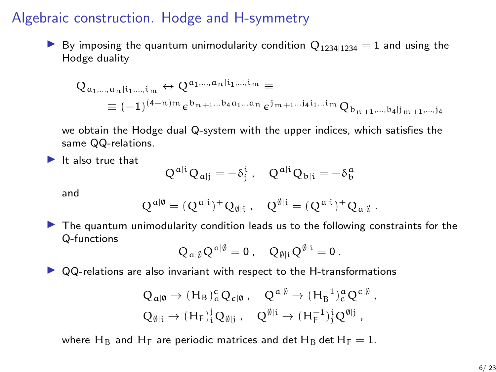### Algebraic construction. Hodge and H-symmetry

By imposing the quantum unimodularity condition  $Q_{1234|1234} = 1$  and using the Hodge duality

$$
Q_{a_1,\dots,a_n|i_1,\dots,i_m} \leftrightarrow Q^{a_1,\dots,a_n|i_1,\dots,i_m} \equiv
$$
  

$$
\equiv (-1)^{(4-n)m} \varepsilon^{b_{n+1}\dots b_4 a_1\dots a_n} \varepsilon^{j_{m+1}\dots j_4 i_1\dots i_m} Q_{b_{n+1},\dots,b_4 | j_{m+1},\dots,j_4}
$$

we obtain the Hodge dual Q-system with the upper indices, which satisfies the same QQ-relations.

 $\blacktriangleright$  It also true that

$$
Q^{\alpha|i}Q_{\alpha|j}=-\delta^i_j\;,\quad Q^{\alpha|i}Q_{b|i}=-\delta^{\alpha}_b
$$

and

$$
Q^{\mathfrak{a}|\emptyset} = (Q^{\mathfrak{a}|i})^+ Q_{\emptyset|i} \ , \quad Q^{\emptyset|i} = (Q^{\mathfrak{a}|i})^+ Q_{\mathfrak{a}|\emptyset} \ .
$$

 $\blacktriangleright$  The quantum unimodularity condition leads us to the following constraints for the Q-functions

$$
Q_{\alpha|\emptyset}Q^{\alpha|\emptyset}=0\ ,\quad Q_{\emptyset|i}Q^{\emptyset|i}=0\ .
$$

 $\triangleright$  QQ-relations are also invariant with respect to the H-transformations

$$
\begin{aligned} Q_{\alpha|\emptyset} &\rightarrow (H_B)^c_{\alpha} Q_{c|\emptyset} \ , \quad Q^{\alpha|\emptyset} \rightarrow (H_B^{-1})^{\alpha}_{c} Q^{c|\emptyset} \ , \\ Q_{\emptyset|i} &\rightarrow (H_F)^i_{\mathfrak{l}} Q_{\emptyset|j} \ , \quad Q^{\emptyset|i} \rightarrow (H_F^{-1})^i_{\mathfrak{l}} Q^{\emptyset|j} \ , \end{aligned}
$$

where H<sub>B</sub> and H<sub>F</sub> are periodic matrices and det H<sub>B</sub> det H<sub>F</sub> = 1.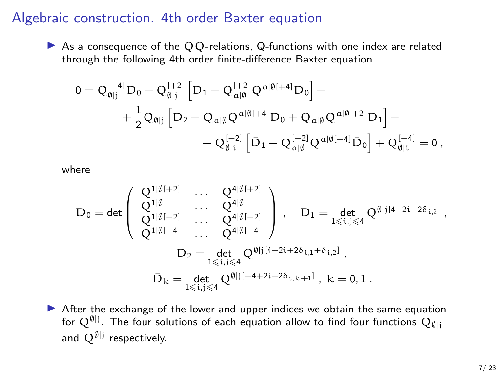#### Algebraic construction. 4th order Baxter equation

As a consequence of the  $QQ$ -relations, Q-functions with one index are related through the following 4th order finite-difference Baxter equation

$$
\begin{aligned} 0&=Q_{\emptyset|j}^{[+4]}D_0-Q_{\emptyset|j}^{[+2]}\left[D_1-Q_{\alpha|\emptyset}^{[+2]}Q^{\alpha|\emptyset[+4]}D_0\right]+\\ &+\frac{1}{2}Q_{\emptyset|j}\left[D_2-Q_{\alpha|\emptyset}Q^{\alpha|\emptyset[+4]}D_0+Q_{\alpha|\emptyset}Q^{\alpha|\emptyset[+2]}D_1\right]-\\ &-Q_{\emptyset|i}^{[-2]}\left[\bar{D}_1+Q_{\alpha|\emptyset}^{[-2]}Q^{\alpha|\emptyset[-4]}\bar{D}_0\right]+Q_{\emptyset|i}^{[-4]}=0\,, \end{aligned}
$$

where

$$
D_0= \text{det} \left( \begin{array}{ccc} Q^{1|\emptyset|+2]} & \ldots & Q^{4|\emptyset|+2]} \\ Q^{1|\emptyset} & \ldots & Q^{4|\emptyset} \\ Q^{1|\emptyset|-2]} & \ldots & Q^{4|\emptyset|-2]} \\ Q^{1|\emptyset|-4]} & \ldots & Q^{4|\emptyset|-4]} \end{array} \right) \,, \quad D_1= \det_{1\leqslant i,j\leqslant 4} Q^{\emptyset|j[4-2i+2\delta_{i,2}]}\,,
$$

$$
D_2= \det_{1\leqslant i,j\leqslant 4} Q^{\emptyset|j[4-2i+2\delta_{i,1}+\delta_{i,2}]}\,,
$$

$$
\bar{D}_k= \det_{1\leqslant i,j\leqslant 4} Q^{\emptyset|j[-4+2i-2\delta_{i,k+1}]} \,, \; k=0,1 \,.
$$

 $\triangleright$  After the exchange of the lower and upper indices we obtain the same equation for  $\mathrm{Q}^{\emptyset| \mathsf{j}}$  . The four solutions of each equation allow to find four functions  $\mathrm{Q}_{\emptyset| \mathsf{j}}$ and  $Q^{\emptyset|j}$  respectively.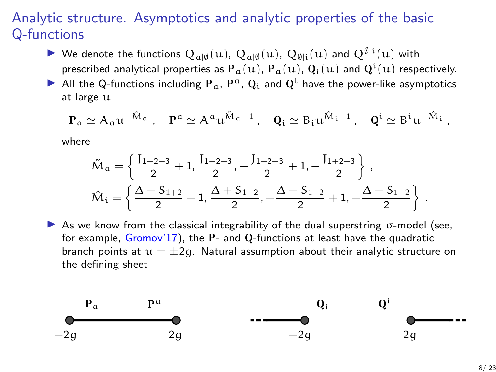## Analytic structure. Asymptotics and analytic properties of the basic Q-functions

- ▶ We denote the functions  $Q_{\alpha|\emptyset}(u)$ ,  $Q_{\alpha|\emptyset}(u)$ ,  $Q_{\emptyset|i}(u)$  and  $Q^{\emptyset|i}(u)$  with prescribed analytical properties as  ${\bf P}_a(u)$ ,  ${\bf P}_a(u)$ ,  ${\bf Q}_i(u)$  and  ${\bf Q}^i(u)$  respectively.
- All the Q-functions including  $P_a$ ,  $P^a$ ,  $Q_i$  and  $Q^i$  have the power-like asymptotics at large u

$$
P_\alpha \simeq A_\alpha u^{-\tilde{M}_\alpha}\;,\quad P^\alpha \simeq A^\alpha u^{\tilde{M}_\alpha-1}\;,\quad Q_i \simeq B_i u^{\hat{M}_i-1}\;,\quad Q^i \simeq B^i u^{-\hat{M}_i}\;,
$$

where

$$
\begin{aligned} &\tilde{\mathcal{M}}_a = \left\{\frac{J_{1+2-3}}{2}+1, \frac{J_{1-2+3}}{2}, -\frac{J_{1-2-3}}{2}+1, -\frac{J_{1+2+3}}{2}\right\}\,, \\ &\hat{\mathcal{M}}_i = \left\{\frac{\Delta-S_{1+2}}{2}+1, \frac{\Delta+S_{1+2}}{2}, -\frac{\Delta+S_{1-2}}{2}+1, -\frac{\Delta-S_{1-2}}{2}\right\}\,. \end{aligned}
$$

 $\triangleright$  As we know from the classical integrability of the dual superstring  $\sigma$ -model (see, for example, Gromov'17), the P- and Q-functions at least have the quadratic branch points at  $u = \pm 2q$ . Natural assumption about their analytic structure on the defining sheet

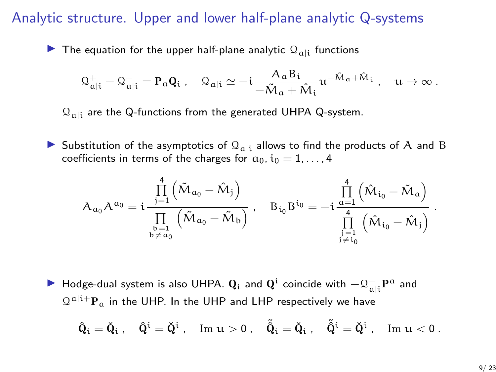#### Analytic structure. Upper and lower half-plane analytic Q-systems

 $\blacktriangleright$  The equation for the upper half-plane analytic  $\mathcal{Q}_{\alpha|i}$  functions

$$
\mathcal{Q}_{\alpha|i}^+ - \mathcal{Q}_{\alpha|i}^- = \mathbf{P}_\alpha \mathbf{Q}_i \ , \quad \mathcal{Q}_{\alpha|i} \simeq -i \frac{A_\alpha B_i}{-\tilde{M}_\alpha + \hat{M}_i} u^{-\tilde{M}_\alpha + \hat{M}_i} \ , \quad u \to \infty \ .
$$

 $\mathcal{Q}_{\text{ali}}$  are the Q-functions from the generated UHPA Q-system.

Substitution of the asymptotics of  $\mathcal{Q}_{\text{ali}}$  allows to find the products of A and B coefficients in terms of the charges for  $a_0$ ,  $i_0 = 1, \ldots, 4$ 

$$
A_{\alpha_0}A^{\alpha_0}=i\frac{\prod\limits_{j=1}^4\left(\tilde{M}_{\alpha_0}-\hat{M}_{j}\right)}{\prod\limits_{\substack{b=1\\b\neq \alpha_0}}\left(\tilde{M}_{\alpha_0}-\tilde{M}_{b}\right)}\,,\quad B_{i_0}B^{i_0}=-i\frac{\prod\limits_{\substack{a=1\\4}}^4\left(\hat{M}_{i_0}-\tilde{M}_{a}\right)}{\prod\limits_{\substack{j=1\\j\neq i_0}}\left(\hat{M}_{i_0}-\hat{M}_{j}\right)}
$$

▶ Hodge-dual system is also UHPA.  $\bf{Q}_i$  and  $\bf{Q}^i$  coincide with  $- \bf{\Omega}_{a|i}^+ \bf{P}^a$  and  $\Omega^{a|i+}P_a$  in the UHP. In the UHP and LHP respectively we have

$$
\hat Q_i=\check Q_i\;,\quad \hat Q^i=\check Q^i\;,\quad \mathrm{Im}\; u>0\;,\quad \tilde{\check Q}_i=\check Q_i\;,\quad \tilde{\check Q}^i=\check Q^i\;,\quad \mathrm{Im}\; u<0\;.
$$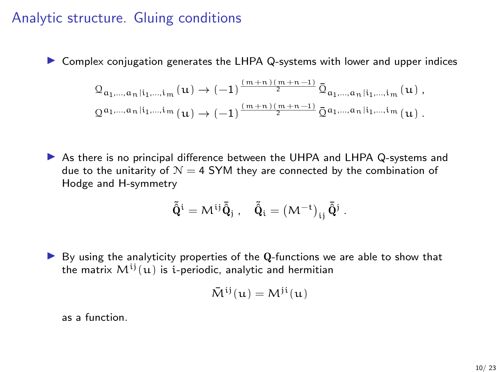### Analytic structure. Gluing conditions

 $\triangleright$  Complex conjugation generates the LHPA Q-systems with lower and upper indices

$$
\begin{aligned} &\mathbb{Q}_{\mathfrak{a}_1,\dots,\mathfrak{a}_n\mid i_1,\dots,i_m}\left(u\right) \rightarrow (-1)^{\frac{\left(m+n\right)\left(m+n-1\right)}{2}}\bar{\mathbb{Q}}_{\mathfrak{a}_1,\dots,\mathfrak{a}_n\mid i_1,\dots,i_m}\left(u\right),\\ &\mathbb{Q}^{\mathfrak{a}_1,\dots,\mathfrak{a}_n\mid i_1,\dots,i_m}\left(u\right) \rightarrow (-1)^{\frac{\left(m+n\right)\left(m+n-1\right)}{2}}\bar{\mathbb{Q}}^{\mathfrak{a}_1,\dots,\mathfrak{a}_n\mid i_1,\dots,i_m}\left(u\right). \end{aligned}
$$

In As there is no principal difference between the UHPA and LHPA Q-systems and due to the unitarity of  $N = 4$  SYM they are connected by the combination of Hodge and H-symmetry

$$
\tilde{\tilde{\mathbf{Q}}}^i=M^{ij}\bar{\tilde{\mathbf{Q}}}_j\;,\quad \tilde{\tilde{\mathbf{Q}}}_i=\left(\mathbf{M}^{-t}\right)_{ij}\bar{\tilde{\mathbf{Q}}}^j\;.
$$

 $\triangleright$  By using the analyticity properties of the Q-functions we are able to show that the matrix  $M^{ij}(u)$  is *i*-periodic, analytic and hermitian

$$
\bar{M}^{ij}(u) = M^{ji}(u)
$$

as a function.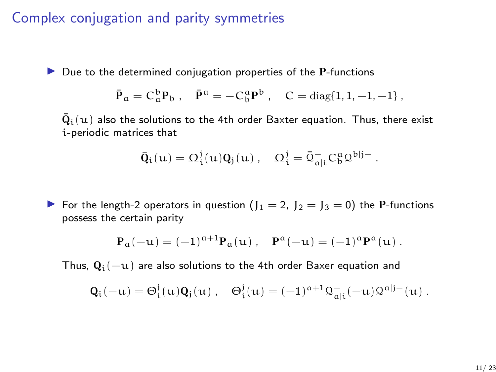## Complex conjugation and parity symmetries

 $\triangleright$  Due to the determined conjugation properties of the P-functions

$$
\bar{P}_a = C_a^b P_b
$$
,  $\bar{P}^a = -C_b^a P^b$ ,  $C = diag\{1, 1, -1, -1\}$ ,

 $\bar{\mathbf{Q}}_ \mathbf{i}(\mathbf{u})$  also the solutions to the 4th order Baxter equation. Thus, there exist i-periodic matrices that

$$
\bar{Q}_i(u) = \Omega_i^j(u) Q_j(u) , \quad \Omega_i^j = \bar{\mathfrak{Q}}_{a|i}^- C_b^a \mathfrak{Q}^{b|j-} .
$$

For the length-2 operators in question  $(J_1 = 2, J_2 = J_3 = 0)$  the P-functions possess the certain parity

$$
P_{\alpha}(-u) = (-1)^{\alpha+1} P_{\alpha}(u) , \quad P^{\alpha}(-u) = (-1)^{\alpha} P^{\alpha}(u) .
$$

Thus,  $Q_i(-u)$  are also solutions to the 4th order Baxer equation and

$$
Q_i(-u) = \Theta_i^j(u) Q_j(u) \ , \quad \Theta_i^j(u) = (-1)^{\alpha+1} \mathfrak{Q}_{a|i}^-(-u) \mathfrak{Q}^{a|j-}(u) \ .
$$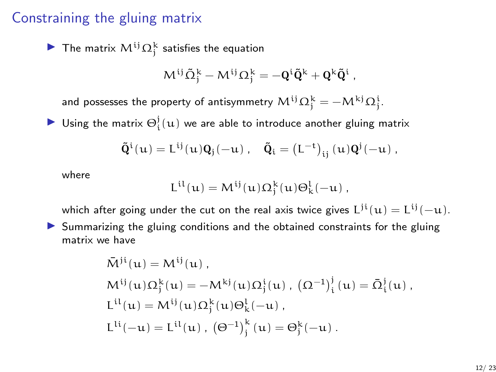#### Constraining the gluing matrix

The matrix  $M^{ij}\Omega_j^k$  satisfies the equation

$$
M^{ij}\tilde{\Omega}^k_j-M^{ij}\Omega^k_j=-\boldsymbol{Q}^i\tilde{\boldsymbol{Q}}^k+\boldsymbol{Q}^k\tilde{\boldsymbol{Q}}^i\;,
$$

and possesses the property of antisymmetry  $\mathsf{M}^{ij}\Omega^k_j=-\mathsf{M}^{kj}\Omega^i_j.$ 

 $\blacktriangleright$  Using the matrix  $\Theta_i^j(u)$  we are able to introduce another gluing matrix

$$
\tilde{\boldsymbol{Q}}^i(u) = L^{ij}(u)\boldsymbol{Q}_j(-u)\;,\quad \tilde{\boldsymbol{Q}}_i = \left(L^{-t}\right)_{ij}(u)\boldsymbol{Q}^j(-u)\;,
$$

where

$$
L^{il}(u)=M^{ij}(u)\Omega_j^k(u)\Theta_k^l(-u)\ ,
$$

which after going under the cut on the real axis twice gives  $\mathrm{L^{ji}}(\mathrm{u}) = \mathrm{L^{ij}}(-\mathrm{u})$ .

In Summarizing the gluing conditions and the obtained constraints for the gluing matrix we have

$$
\begin{aligned} \bar{M}^{ij}(u) &= M^{ij}(u) \ , \\ M^{ij}(u) \Omega_j^k(u) &= -M^{kj}(u) \Omega_j^i(u) \ , \ \big( \Omega^{-1} \big)_i^j(u) &= \bar{\Omega}_i^j(u) \ , \\ L^{il}(u) &= M^{ij}(u) \Omega_j^k(u) \Theta_k^l(-u) \ , \\ L^{li}(-u) &= L^{il}(u) \ , \ \big( \Theta^{-1} \big)_j^k(u) &= \Theta_j^k(-u) \ . \end{aligned}
$$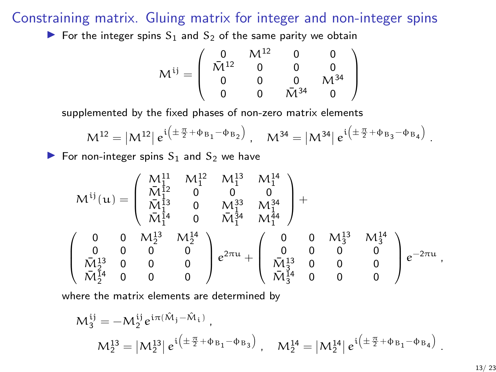Constraining matrix. Gluing matrix for integer and non-integer spins

For the integer spins  $S_1$  and  $S_2$  of the same parity we obtain

$$
M^{ij}=\left(\begin{array}{cccc} 0 & M^{12} & 0 & 0 \\ \bar{M}^{12} & 0 & 0 & 0 \\ 0 & 0 & 0 & M^{34} \\ 0 & 0 & \bar{M}^{34} & 0 \end{array}\right)
$$

supplemented by the fixed phases of non-zero matrix elements

$$
M^{12} = |M^{12}| e^{i \left( \pm \frac{\pi}{2} + \Phi_{B_1} - \Phi_{B_2} \right)}, \quad M^{34} = |M^{34}| e^{i \left( \pm \frac{\pi}{2} + \Phi_{B_3} - \Phi_{B_4} \right)}
$$

For non-integer spins  $S_1$  and  $S_2$  we have

$$
M^{ij}(u)=\left(\begin{array}{cccc} M^{11}_1 & M^{12}_1 & M^{13}_1 & M^{14}_1 \\ \bar{M}^{12}_1 & 0 & 0 & 0 \\ \bar{M}^{13}_1 & 0 & M^{33}_1 & M^{34}_1 \\ \bar{M}^{14}_1 & 0 & \bar{M}^{34}_1 & M^{44}_1 \\ \end{array}\right)+
$$
 
$$
\left(\begin{array}{cccc} 0 & 0 & M^{13}_2 & M^{14}_2 \\ 0 & 0 & 0 & 0 \\ \bar{M}^{13}_2 & 0 & 0 & 0 \\ \bar{M}^{13}_2 & 0 & 0 & 0 \\ \bar{M}^{5}_2 & 0 & 0 & 0 \end{array}\right)e^{2\pi u}+\left(\begin{array}{cccc} 0 & 0 & M^{13}_3 & M^{14}_3 \\ 0 & 0 & 0 & 0 \\ \bar{M}^{13}_3 & 0 & 0 & 0 \\ \bar{M}^{13}_3 & 0 & 0 & 0 \\ \bar{M}^{13}_3 & 0 & 0 & 0 \\ \bar{M}^{13}_3 & 0 & 0 & 0 \end{array}\right)e^{-2\pi u}\,,
$$

where the matrix elements are determined by

$$
\mathcal{M}_{3}^{ij} = -M_{2}^{ij} e^{i\pi(\hat{M}_{j} - \hat{M}_{i})},
$$
  
\n
$$
\mathcal{M}_{2}^{13} = |M_{2}^{13}| e^{i(\pm \frac{\pi}{2} + \Phi_{B_{1}} - \Phi_{B_{3}})}, \quad \mathcal{M}_{2}^{14} = |M_{2}^{14}| e^{i(\pm \frac{\pi}{2} + \Phi_{B_{1}} - \Phi_{B_{4}})}.
$$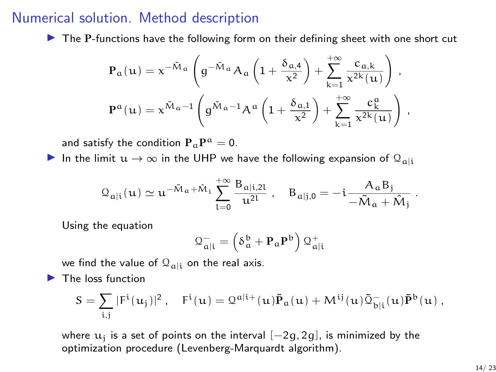#### Numerical solution. Method description

 $\blacktriangleright$  The P-functions have the following form on their defining sheet with one short cut

$$
\begin{aligned} &\textbf{P}_{\alpha}(u)=\textbf{x}^{-\tilde{M}_{\alpha}}\left(g^{-\tilde{M}_{\alpha}}A_{\alpha}\left(1+\frac{\delta_{\alpha,4}}{\textbf{x}^2}\right)+\sum_{k=1}^{+\infty}\frac{c_{\alpha,k}}{\textbf{x}^{2k}(u)}\right)\,,\\ &\textbf{P}^{\alpha}(u)=\textbf{x}^{\tilde{M}_{\alpha}-1}\left(g^{\tilde{M}_{\alpha}-1}A^{\alpha}\left(1+\frac{\delta_{\alpha,1}}{\textbf{x}^2}\right)+\sum_{k=1}^{+\infty}\frac{c_{\alpha}^{\alpha}}{\textbf{x}^{2k}(u)}\right)\,, \end{aligned}
$$

and satisfy the condition  $\mathbf{P}_{\mathfrak{a}}\mathbf{P}^{\mathfrak{a}}=0.$ 

In the limit  $u \to \infty$  in the UHP we have the following expansion of  $\mathcal{Q}_{\text{ali}}$ 

$$
\mathfrak{Q}_{\alpha|i}(\mathfrak{u})\simeq \mathfrak{u}^{-\tilde{M}_\alpha+\hat{M}_i}\sum_{l=0}^{+\infty}\frac{B_{\alpha|i,2l}}{\mathfrak{u}^{2l}}\;,\quad B_{\alpha|j,0}=-i\frac{A_\alpha B_j}{-\tilde{M}_\alpha+\hat{M}_j}
$$

Using the equation

$$
\mathfrak{Q}_{\alpha|i}^- = \left(\delta_\alpha^b + \mathbf{P}_\alpha \mathbf{P}^b\right) \mathfrak{Q}_{\alpha|i}^+
$$

we find the value of  $\mathcal{Q}_{\text{ali}}$  on the real axis.

 $\blacktriangleright$  The loss function

$$
S=\sum_{i,j} |F^i(u_j)|^2\,,\quad F^i(u)=\mathfrak{Q}^{a|i+}(u)\tilde{\bm{P}}_a(u)+M^{ij}(u)\bar{\mathfrak{Q}}^-_{b|i}(u)\bar{\bm{P}}^b(u)\,,
$$

where  $\mathbf{u}_\mathrm{j}$  is a set of points on the interval  $[-2g, 2g]$ , is minimized by the optimization procedure (Levenberg-Marquardt algorithm).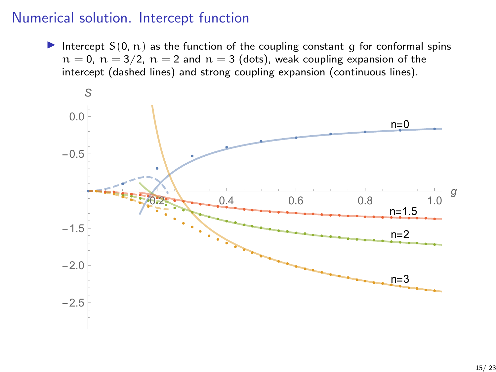#### Numerical solution. Intercept function

Intercept  $S(0, n)$  as the function of the coupling constant q for conformal spins  $n = 0$ ,  $n = 3/2$ ,  $n = 2$  and  $n = 3$  (dots), weak coupling expansion of the intercept (dashed lines) and strong coupling expansion (continuous lines).

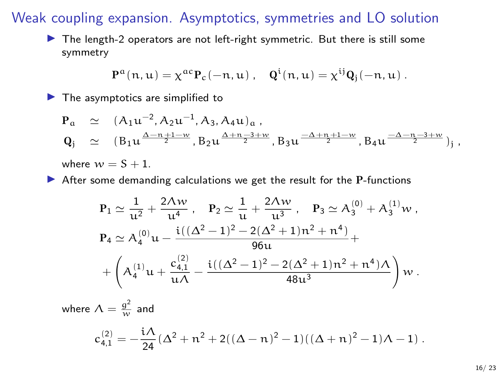#### Weak coupling expansion. Asymptotics, symmetries and LO solution

 $\blacktriangleright$  The length-2 operators are not left-right symmetric. But there is still some symmetry

$$
P^\alpha(n,u)=\chi^{\alpha c}P_c(-n,u)\;,\quad Q^i(n,u)=\chi^{ij}Q_j(-n,u)\;.
$$

 $\blacktriangleright$  The asymptotics are simplified to

$$
\begin{array}{lll} \displaystyle P_{\alpha} & \simeq & (A_1 u^{-2}, A_2 u^{-1}, A_3, A_4 u)_{\alpha} \, , \\ \displaystyle Q_j & \simeq & (B_1 u^{\frac{\Delta-n+1-w}{2}}, B_2 u^{\frac{\Delta+n-3+w}{2}}, B_3 u^{\frac{-\Delta+n+1-w}{2}}, B_4 u^{\frac{-\Delta-n-3+w}{2}})_{j} \, , \end{array}
$$

where  $w = S + 1$ .

 $\triangleright$  After some demanding calculations we get the result for the P-functions

$$
P_1 \simeq \frac{1}{u^2} + \frac{2\Lambda w}{u^4}, \quad P_2 \simeq \frac{1}{u} + \frac{2\Lambda w}{u^3}, \quad P_3 \simeq A_3^{(0)} + A_3^{(1)}w,
$$
  
\n
$$
P_4 \simeq A_4^{(0)}u - \frac{i((\Delta^2 - 1)^2 - 2(\Delta^2 + 1)n^2 + n^4)}{96u} + \frac{64.1}{u\Lambda} - \frac{i((\Delta^2 - 1)^2 - 2(\Delta^2 + 1)n^2 + n^4)\Lambda}{48u^3} w.
$$

where  $\Lambda = \frac{g^2}{w}$  and  $c_{4,1}^{(2)} = -\frac{i\Lambda}{24}$  $\frac{2\lambda}{24}(\Delta^2 + n^2 + 2((\Delta - n)^2 - 1)((\Delta + n)^2 - 1)\Lambda - 1)$ .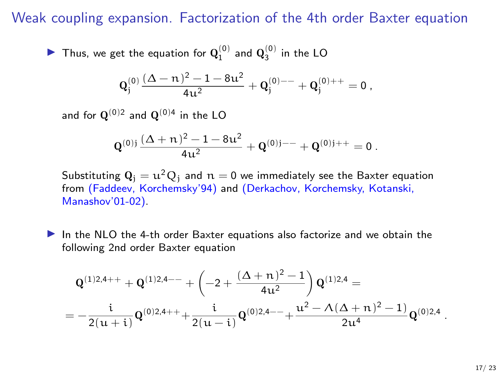#### Weak coupling expansion. Factorization of the 4th order Baxter equation

 $\blacktriangleright$  Thus, we get the equation for  $\mathbf{Q}_1^{(0)}$  and  $\mathbf{Q}_3^{(0)}$  in the LO

$$
\mathbf{Q}_j^{(0)} \frac{(\Delta-n)^2-1-8u^2}{4u^2} + \mathbf{Q}_j^{(0)--} + \mathbf{Q}_j^{(0)++} = 0 \ ,
$$

and for  $\mathbf{Q}^{(0)2}$  and  $\mathbf{Q}^{(0)4}$  in the LO

$$
Q^{(0)j}\frac{(\Delta+n)^2-1-8u^2}{4u^2}+Q^{(0)j--}+Q^{(0)j++}=0\ .
$$

Substituting  $Q_i = u^2 Q_i$  and  $n = 0$  we immediately see the Baxter equation from (Faddeev, Korchemsky'94) and (Derkachov, Korchemsky, Kotanski, Manashov'01-02).

In the NLO the 4-th order Baxter equations also factorize and we obtain the following 2nd order Baxter equation

$$
\begin{aligned}&\mathbf{Q}^{(1)2,4++}+\mathbf{Q}^{(1)2,4--}+\left(-2+\frac{(\Delta+\mathfrak{n})^2-1}{4u^2}\right)\mathbf{Q}^{(1)2,4} = \\ &= -\frac{i}{2(u+i)}\mathbf{Q}^{(0)2,4++}+\frac{i}{2(u-i)}\mathbf{Q}^{(0)2,4--}+\frac{u^2-\Lambda(\Delta+\mathfrak{n})^2-1)}{2u^4}\mathbf{Q}^{(0)2,4}\end{aligned}
$$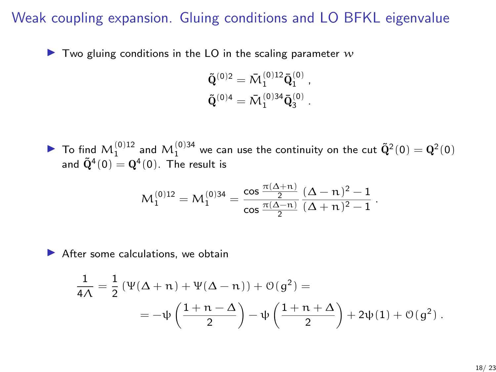## Weak coupling expansion. Gluing conditions and LO BFKL eigenvalue

 $\blacktriangleright$  Two gluing conditions in the LO in the scaling parameter w

$$
\tilde{\mathbf{Q}}^{(0)2} = \bar{\mathbf{M}}_1^{(0)12} \bar{\mathbf{Q}}_1^{(0)} ,\n\tilde{\mathbf{Q}}^{(0)4} = \bar{\mathbf{M}}_1^{(0)34} \bar{\mathbf{Q}}_3^{(0)} .
$$

 $\blacktriangleright$  To find  $M_1^{(0)12}$  and  $M_1^{(0)34}$  we can use the continuity on the cut  $\tilde{Q}^2(0) = Q^2(0)$ and  $\tilde{\mathrm{Q}}^4(0) = \mathrm{Q}^4(0).$  The result is

$$
M_1^{(0)12} = M_1^{(0)34} = \frac{\cos \frac{\pi(\Delta + n)}{2}}{\cos \frac{\pi(\Delta - n)}{2}} \frac{(\Delta - n)^2 - 1}{(\Delta + n)^2 - 1}.
$$

 $\blacktriangleright$  After some calculations, we obtain

$$
\begin{aligned} \frac{1}{4\Lambda} &= \frac{1}{2} \left( \Psi(\Delta+n) + \Psi(\Delta-n) \right) + \mathcal{O}(g^2) = \\ &= -\psi\left( \frac{1+n-\Delta}{2} \right) - \psi\left( \frac{1+n+\Delta}{2} \right) + 2\psi(1) + \mathcal{O}(g^2) \ . \end{aligned}
$$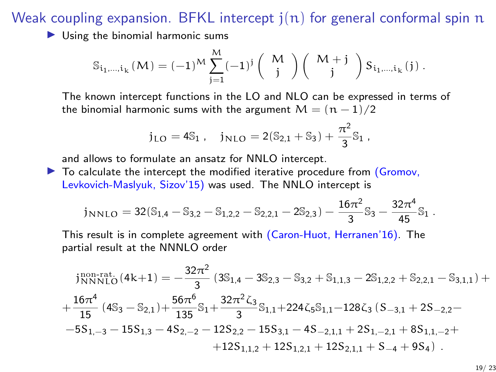Weak coupling expansion. BFKL intercept  $j(n)$  for general conformal spin n

 $\triangleright$  Using the binomial harmonic sums

$$
\mathbb{S}_{i_1,\dots,i_k}\left(M\right)=(-1)^M\sum_{j=1}^M(-1)^j\left(\begin{array}{c}M\\j\end{array}\right)\left(\begin{array}{c}M+j\\j\end{array}\right)S_{i_1,\dots,i_k}(j)\;.
$$

The known intercept functions in the LO and NLO can be expressed in terms of the binomial harmonic sums with the argument  $M = (n - 1)/2$ 

$$
j_{LO}=4\mathbb{S}_1\ ,\quad j_{NLO}=2(\mathbb{S}_{2,1}+\mathbb{S}_3)+\frac{\pi^2}{3}\mathbb{S}_1\ ,
$$

and allows to formulate an ansatz for NNLO intercept.

 $\triangleright$  To calculate the intercept the modified iterative procedure from (Gromov, Levkovich-Maslyuk, Sizov'15) was used. The NNLO intercept is

$$
j_{NNLO}=32(\mathbb{S}_{1,4}-\mathbb{S}_{3,2}-\mathbb{S}_{1,2,2}-\mathbb{S}_{2,2,1}-2\mathbb{S}_{2,3})-\frac{16\pi^2}{3}\mathbb{S}_3-\frac{32\pi^4}{45}\mathbb{S}_1\;.
$$

This result is in complete agreement with (Caron-Huot, Herranen'16). The partial result at the NNNLO order

$$
\begin{aligned} & j_{NNNLO}^{\text{100-rat.}}(4k+1)=-\frac{32\pi^2}{3}\left(3 \mathbb{S}_{1,4}-3 \mathbb{S}_{2,3}-\mathbb{S}_{3,2}+\mathbb{S}_{1,1,3}-2 \mathbb{S}_{1,2,2}+\mathbb{S}_{2,2,1}-\mathbb{S}_{3,1,1}\right)+\\ &+\frac{16\pi^4}{15}\left(4 \mathbb{S}_{3}-\mathbb{S}_{2,1}\right)+\frac{56\pi^6}{135}\mathbb{S}_{1}+\frac{32\pi^2 \zeta_3}{3}\mathbb{S}_{1,1}+224 \zeta_5 \mathbb{S}_{1,1}-128 \zeta_3\left(S_{-3,1}+2 S_{-2,2}-\right.\\ &\left.-5 S_{1,-3}-15 S_{1,3}-4 S_{2,-2}-12 S_{2,2}-15 S_{3,1}-4 S_{-2,1,1}+2 S_{1,-2,1}+8 S_{1,1,-2}+\\ &\left.+12 S_{1,1,2}+12 S_{1,2,1}+12 S_{2,1,1}+S_{-4}+9 S_{4}\right)\,. \end{aligned}
$$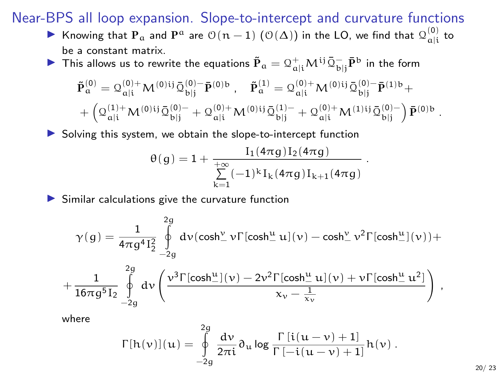#### Near-BPS all loop expansion. Slope-to-intercept and curvature functions

- ▶ Knowing that  $P_a$  and  $P^a$  are  $\mathfrak{O}(n-1)$   $(\mathfrak{O}(\Delta))$  in the LO, we find that  $\mathfrak{Q}^{(0)}_{a|i}$  to be a constant matrix.
- ▶ This allows us to rewrite the equations  ${\tilde{\bf{P}}}_\alpha = {\mathcal{Q}}^+_{\alpha|{\rm i}} {\boldsymbol{M}}^{{\rm i}j} \bar{\mathcal{Q}}^-_{\rm b|j} \bar{\bf{P}}^{\rm b}$  in the form

$$
\begin{aligned} &\tilde{\textbf{P}}^{(0)}_{\alpha} = \mathcal{Q}^{(0)+}_{\alpha|i} \mathcal{M}^{(0)ij} \bar{\mathcal{Q}}^{(0)-}_{bj}\bar{\textbf{P}}^{(0)\,b} \ , \quad \tilde{\textbf{P}}^{(1)}_{\alpha} = \mathcal{Q}^{(0)+}_{\alpha|i} \mathcal{M}^{(0)ij} \bar{\mathcal{Q}}^{(0)-}_{bj}\bar{\textbf{P}}^{(1)\,b} + \\ &+ \left( \mathcal{Q}^{(1)+}_{\alpha|i} \mathcal{M}^{(0)ij} \bar{\mathcal{Q}}^{(0)-}_{bjj} + \mathcal{Q}^{(0)+}_{\alpha|i} \mathcal{M}^{(0)ij} \bar{\mathcal{Q}}^{(1)-}_{bjj} + \mathcal{Q}^{(0)+}_{\alpha|i} \mathcal{M}^{(1)ij} \bar{\mathcal{Q}}^{(0)-}_{bj} \right) \bar{\textbf{P}}^{(0)\,b} \end{aligned}
$$

.

 $123$ 

.

 $\triangleright$  Solving this system, we obtain the slope-to-intercept function

$$
\theta(g)=1+\frac{I_1(4\pi g)I_2(4\pi g)}{\sum\limits_{k=1}^{+\infty}(-1)^kI_k(4\pi g)I_{k+1}(4\pi g)}
$$

Similar calculations give the curvature function

$$
\gamma(g)=\frac{1}{4\pi g^4 I_2^2}\int\limits_{-2g}^{2g}\frac{d\nu(\cosh_{-}^{\nu}\nu\Gamma[\cosh_{-}^{\mu}u](\nu)-\cosh_{-}^{\nu}\nu^2\Gamma[\cosh_{-}^{\mu}](\nu))+\\\nonumber+\frac{1}{16\pi g^5 I_2}\int\limits_{-2g}^{2g}\frac{d\nu\left(\frac{\nu^3\Gamma[\cosh_{-}^{\mu}](\nu)-2\nu^2\Gamma[\cosh_{-}^{\mu}u](\nu)+\nu\Gamma[\cosh_{-}^{\mu}u^2]\right)}{\chi_{\nu}-\frac{1}{\chi_{\nu}}}\ ,
$$

where

$$
\Gamma[h(\nu)](u) = \oint_{-2g}^{2g} \frac{d\nu}{2\pi i} \partial_u \log \frac{\Gamma[i(u-\nu)+1]}{\Gamma[-i(u-\nu)+1]} h(\nu) .
$$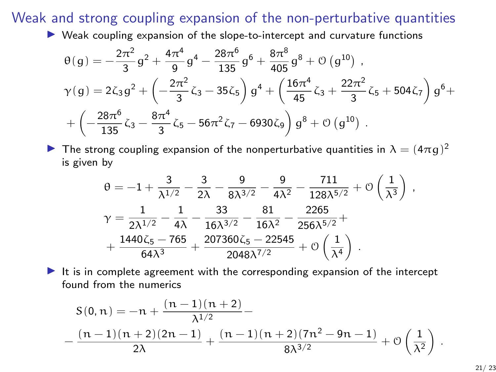Weak and strong coupling expansion of the non-perturbative quantities

 $\triangleright$  Weak coupling expansion of the slope-to-intercept and curvature functions

$$
\begin{aligned} &\theta(g)=-\frac{2\pi^2}{3}g^2+\frac{4\pi^4}{9}g^4-\frac{28\pi^6}{135}g^6+\frac{8\pi^8}{405}g^8+\mathcal{O}\left(g^{10}\right)\,,\\ &\gamma(g)=2\zeta_3g^2+\left(-\frac{2\pi^2}{3}\zeta_3-35\zeta_5\right)g^4+\left(\frac{16\pi^4}{45}\zeta_3+\frac{22\pi^2}{3}\zeta_5+504\zeta_7\right)g^6+\\ &\left.+\left(-\frac{28\pi^6}{135}\zeta_3-\frac{8\pi^4}{3}\zeta_5-56\pi^2\zeta_7-6930\zeta_9\right)g^8+\mathcal{O}\left(g^{10}\right)\,. \end{aligned}
$$

**I** The strong coupling expansion of the nonperturbative quantities in  $\lambda = (4\pi g)^2$ is given by

$$
\begin{aligned} \theta=&-1+\frac{3}{\lambda^{1/2}}-\frac{3}{2\lambda}-\frac{9}{8\lambda^{3/2}}-\frac{9}{4\lambda^2}-\frac{711}{128\lambda^{5/2}}+\mathcal{O}\left(\frac{1}{\lambda^3}\right)\,,\\ \gamma=&\frac{1}{2\lambda^{1/2}}-\frac{1}{4\lambda}-\frac{33}{16\lambda^{3/2}}-\frac{81}{16\lambda^2}-\frac{2265}{256\lambda^{5/2}}+\\ &+\frac{1440\zeta_5-765}{64\lambda^3}+\frac{207360\zeta_5-22545}{2048\lambda^{7/2}}+\mathcal{O}\left(\frac{1}{\lambda^4}\right)\,. \end{aligned}
$$

It is in complete agreement with the corresponding expansion of the intercept found from the numerics

$$
S(0, n) = -n + \frac{(n-1)(n+2)}{\lambda^{1/2}} -
$$
  
 
$$
-\frac{(n-1)(n+2)(2n-1)}{2\lambda} + \frac{(n-1)(n+2)(7n^2 - 9n - 1)}{8\lambda^{3/2}} + \mathcal{O}\left(\frac{1}{\lambda^2}\right)
$$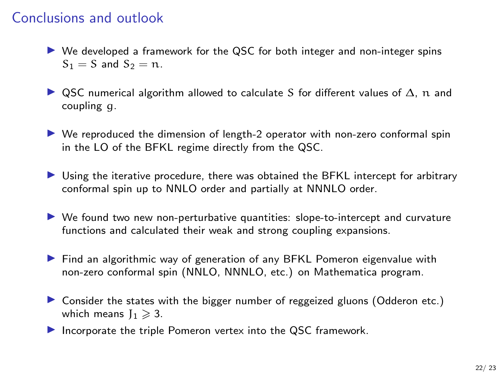## Conclusions and outlook

- $\triangleright$  We developed a framework for the QSC for both integer and non-integer spins  $S_1 = S$  and  $S_2 = n$ .
- $\triangleright$  QSC numerical algorithm allowed to calculate S for different values of  $\Delta$ , n and coupling g.
- $\triangleright$  We reproduced the dimension of length-2 operator with non-zero conformal spin in the LO of the BFKL regime directly from the QSC.
- ▶ Using the iterative procedure, there was obtained the BFKL intercept for arbitrary conformal spin up to NNLO order and partially at NNNLO order.
- $\triangleright$  We found two new non-perturbative quantities: slope-to-intercept and curvature functions and calculated their weak and strong coupling expansions.
- ▶ Find an algorithmic way of generation of any BFKL Pomeron eigenvalue with non-zero conformal spin (NNLO, NNNLO, etc.) on Mathematica program.
- **If** Consider the states with the bigger number of reggeized gluons (Odderon etc.) which means  $I_1 \geq 3$ .
- Incorporate the triple Pomeron vertex into the QSC framework.